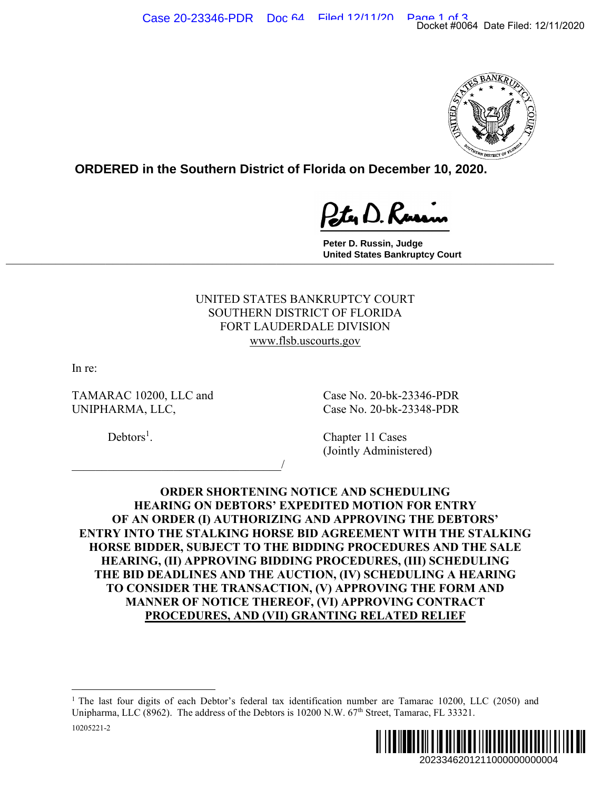

**ORDERED in the Southern District of Florida on December 10, 2020.**

**Peter D. Russin, Judge United States Bankruptcy Court \_\_\_\_\_\_\_\_\_\_\_\_\_\_\_\_\_\_\_\_\_\_\_\_\_\_\_\_\_\_\_\_\_\_\_\_\_\_\_\_\_\_\_\_\_\_\_\_\_\_\_\_\_\_\_\_\_\_\_\_\_\_\_\_\_\_\_\_\_\_\_\_\_\_\_\_\_**

> UNITED STATES BANKRUPTCY COURT SOUTHERN DISTRICT OF FLORIDA FORT LAUDERDALE DIVISION www.flsb.uscourts.gov

In re:

10205221-2

TAMARAC 10200, LLC and Case No. 20-bk-23346-PDR UNIPHARMA, LLC, Case No. 20-bk-23348-PDR

 $\overline{\phantom{a}}$ 

 $Debtors<sup>1</sup>$ .

. Chapter 11 Cases (Jointly Administered)

**ORDER SHORTENING NOTICE AND SCHEDULING HEARING ON DEBTORS' EXPEDITED MOTION FOR ENTRY OF AN ORDER (I) AUTHORIZING AND APPROVING THE DEBTORS' ENTRY INTO THE STALKING HORSE BID AGREEMENT WITH THE STALKING HORSE BIDDER, SUBJECT TO THE BIDDING PROCEDURES AND THE SALE HEARING, (II) APPROVING BIDDING PROCEDURES, (III) SCHEDULING THE BID DEADLINES AND THE AUCTION, (IV) SCHEDULING A HEARING TO CONSIDER THE TRANSACTION, (V) APPROVING THE FORM AND MANNER OF NOTICE THEREOF, (VI) APPROVING CONTRACT PROCEDURES, AND (VII) GRANTING RELATED RELIEF**  2023346201211000000000004 Docket #0064 Date Filed: 12/11/2020

<sup>&</sup>lt;sup>1</sup> The last four digits of each Debtor's federal tax identification number are Tamarac 10200, LLC (2050) and Unipharma, LLC (8962). The address of the Debtors is 10200 N.W. 67<sup>th</sup> Street, Tamarac, FL 33321.

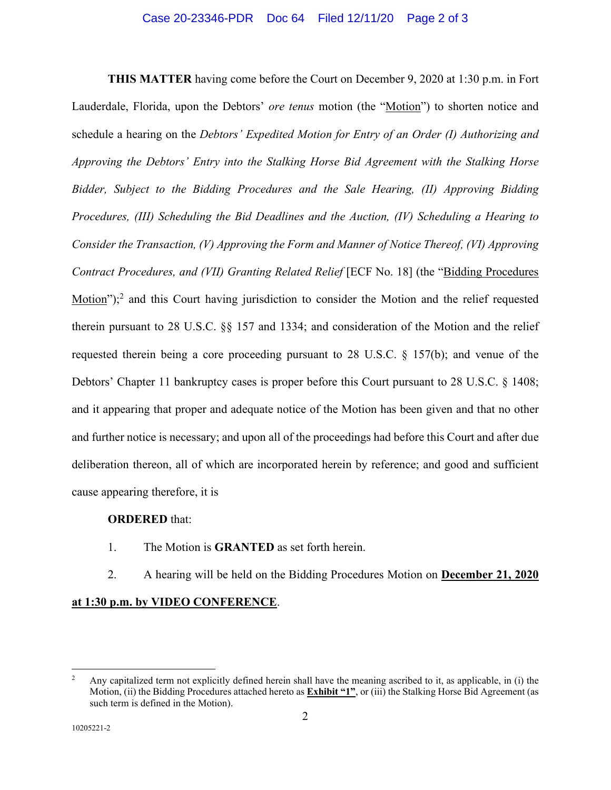**THIS MATTER** having come before the Court on December 9, 2020 at 1:30 p.m. in Fort Lauderdale, Florida, upon the Debtors' *ore tenus* motion (the "Motion") to shorten notice and schedule a hearing on the *Debtors' Expedited Motion for Entry of an Order (I) Authorizing and Approving the Debtors' Entry into the Stalking Horse Bid Agreement with the Stalking Horse Bidder, Subject to the Bidding Procedures and the Sale Hearing, (II) Approving Bidding Procedures, (III) Scheduling the Bid Deadlines and the Auction, (IV) Scheduling a Hearing to Consider the Transaction, (V) Approving the Form and Manner of Notice Thereof, (VI) Approving Contract Procedures, and (VII) Granting Related Relief* [ECF No. 18] (the "Bidding Procedures  $Motion$ <sup>"</sup>);<sup>2</sup> and this Court having jurisdiction to consider the Motion and the relief requested therein pursuant to 28 U.S.C. §§ 157 and 1334; and consideration of the Motion and the relief requested therein being a core proceeding pursuant to 28 U.S.C. § 157(b); and venue of the Debtors' Chapter 11 bankruptcy cases is proper before this Court pursuant to 28 U.S.C. § 1408; and it appearing that proper and adequate notice of the Motion has been given and that no other and further notice is necessary; and upon all of the proceedings had before this Court and after due deliberation thereon, all of which are incorporated herein by reference; and good and sufficient cause appearing therefore, it is

## **ORDERED** that:

- 1. The Motion is **GRANTED** as set forth herein.
- 2. A hearing will be held on the Bidding Procedures Motion on **December 21, 2020**

## **at 1:30 p.m. by VIDEO CONFERENCE**.

<sup>&</sup>lt;sup>2</sup> Any capitalized term not explicitly defined herein shall have the meaning ascribed to it, as applicable, in (i) the Motion, (ii) the Bidding Procedures attached hereto as **Exhibit "1"**, or (iii) the Stalking Horse Bid Agreement (as such term is defined in the Motion).